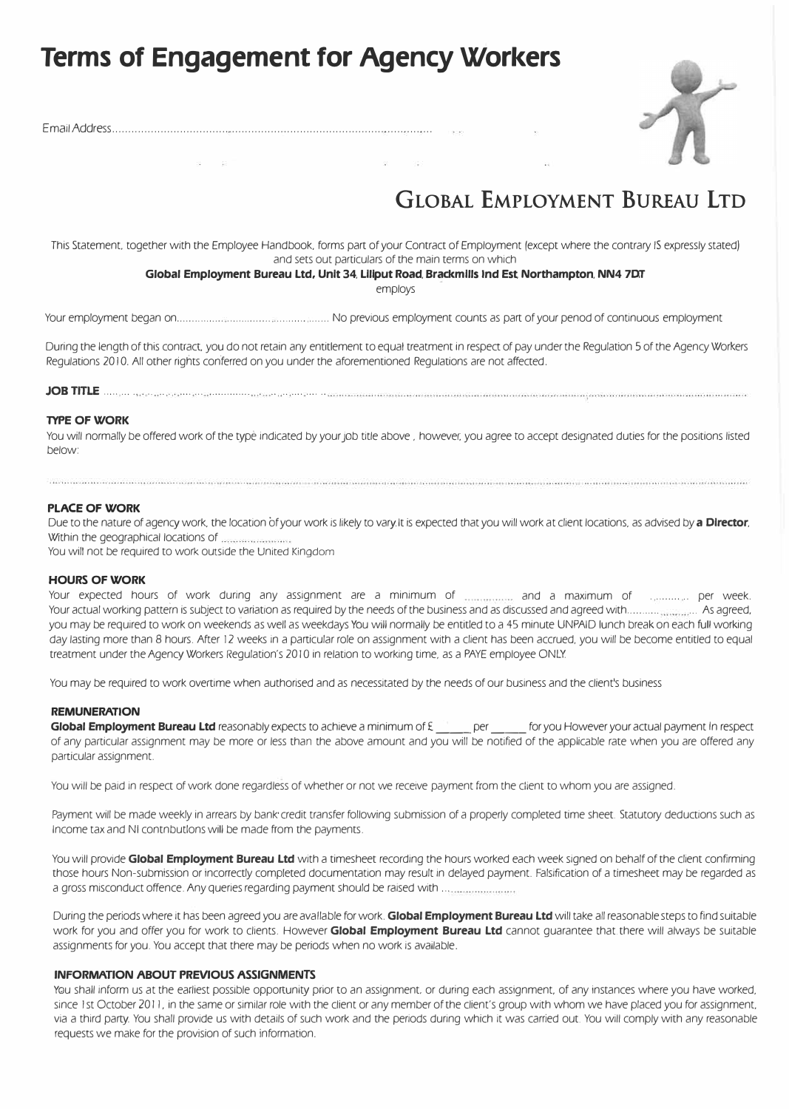# **Terms of Engagement for Agency Workers**



EmailAddress...................................................................................................

## **GLOBAL EMPLOYMENT BUREAU LTD**

This Statement. together with the Employee Handbook. forms part of your Contract of Employment (except where the contrary IS expressly stated) and sets out particulars of the main terms on which

#### **Global Employment Bureau Ltd, Unit 34, Liliput Road, Brackmills Ind Est, Northampton, NN4 7DT**

employs

Your employment began on ................ ............... ........... ....... No previous employment counts as part of your penod of continuous employment

During the length of this contract. you do not retain any entitlement to equal treatment in respect of pay under the Regulation 5 of the Agency Workers Regulations 2010. All other rights conferred on you under the aforementioned Regulations are not affected.

JOBmLE .......... ... .. . . ...... ............... . .... ..........

#### **TYPE OF WORK**

You will normally be offered work of the type indicated by your job title above, however, you agree to accept designated duties for the positions listed below:

#### **PLACE OF WORK**

Due to the nature of agency work, the location of your work is likely to vary. It is expected that you will work at client locations, as advised by **a Director,**  Within the geographical locations of

You will not be required to work outside the United Kingdom

#### **HOURS OF WORK**

Your expected hours of work during any assignment are a minimum of ................. and a maximum of .............. per week. Your actual working pattern is subject to variation as required by the needs of the business and as discussed and agreed with........... . .. As agreed, you may be required to work on weekends as well as weekdays You will normally be entitled to a 45 minute UNPAID lunch break on each full working day lasting more than 8 hours. After 12 weeks in a particular role on assignment with a client has been accrued, you will be become entitled to equal treatment under the Agency Workers Regulation's 20 IO in relation to working time, as a PAYE employee ONLY

You may be required to work overtime when authorised and as necessitated by the needs of our business and the client's business

#### **REMUNERATION**

**Global Employment Bureau Ltd** reasonably expects to achieve a minimum of £ \_\_\_\_ per \_\_\_ for you However your actual payment In respect of any particular assignment may be more or less than the above amount and you will be notified of the applicable rate when you are offered any particular assignment.

You will be paid in respect of work done regardless of whether or not we receive payment from the client to whom you are assigned.

Payment will be made weekly in arrears by bank· credit transfer following submission of a properly completed time sheet. Statutory deductions such as Income tax and NI contnbutlons will be made from the payments.

You will provide Global Employment Bureau Ltd with a timesheet recording the hours worked each week signed on behalf of the client confirming those hours Non-submission or incorrectly completed documentation may result in delayed payment. Falsification of a timesheet may be regarded as a gross misconduct offence. Any queries regarding payment should be raised with .............................

During the periods where it has been agreed you are available for work. **Global Employment Bureau Ltd** will take all reasonable steps to find suitable work for you and offer you for work to clients. However **Global Employment Bureau Ltd** cannot guarantee that. there will always be suitable assignments for you. You accept that there may be periods when no work is available.

#### **INFORMATION ABOUT PREVIOUS ASSIGNMENTS**

You shall inform us at the earliest possible opportunity prior to an assignment, or during each assignment, of any instances where you have worked, since 1st October 2011, in the same or similar role with the client or any member of the client's group with whom we have placed you for assignment, via a third party. You shall provide us with details of such work and the periods during which it was carried out. You will comply with any reasonable requests we make for the provision of such information.